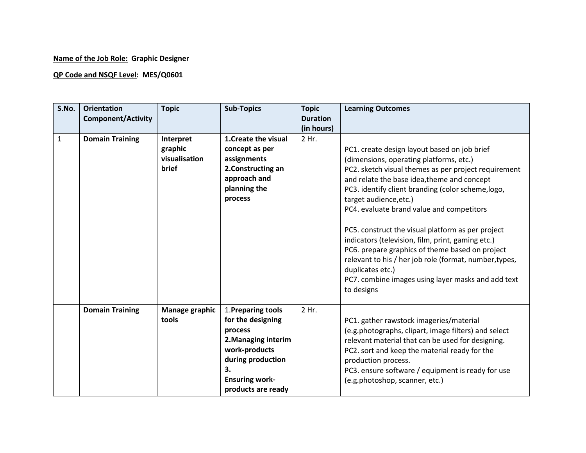## **Name of the Job Role: Graphic Designer**

## **QP Code and NSQF Level: MES/Q0601**

| S.No.        | <b>Orientation</b><br><b>Component/Activity</b> | <b>Topic</b>                                   | <b>Sub-Topics</b>                                                                                                                                                    | <b>Topic</b><br><b>Duration</b><br>(in hours) | <b>Learning Outcomes</b>                                                                                                                                                                                                                                                                                                                                                                                                                                                                                                                                                                                                                   |
|--------------|-------------------------------------------------|------------------------------------------------|----------------------------------------------------------------------------------------------------------------------------------------------------------------------|-----------------------------------------------|--------------------------------------------------------------------------------------------------------------------------------------------------------------------------------------------------------------------------------------------------------------------------------------------------------------------------------------------------------------------------------------------------------------------------------------------------------------------------------------------------------------------------------------------------------------------------------------------------------------------------------------------|
| $\mathbf{1}$ | <b>Domain Training</b>                          | Interpret<br>graphic<br>visualisation<br>brief | 1. Create the visual<br>concept as per<br>assignments<br>2. Constructing an<br>approach and<br>planning the<br>process                                               | 2 Hr.                                         | PC1. create design layout based on job brief<br>(dimensions, operating platforms, etc.)<br>PC2. sketch visual themes as per project requirement<br>and relate the base idea, theme and concept<br>PC3. identify client branding (color scheme, logo,<br>target audience, etc.)<br>PC4. evaluate brand value and competitors<br>PC5. construct the visual platform as per project<br>indicators (television, film, print, gaming etc.)<br>PC6. prepare graphics of theme based on project<br>relevant to his / her job role (format, number, types,<br>duplicates etc.)<br>PC7. combine images using layer masks and add text<br>to designs |
|              | <b>Domain Training</b>                          | Manage graphic<br>tools                        | 1. Preparing tools<br>for the designing<br>process<br>2. Managing interim<br>work-products<br>during production<br>3.<br><b>Ensuring work-</b><br>products are ready | 2 Hr.                                         | PC1. gather rawstock imageries/material<br>(e.g.photographs, clipart, image filters) and select<br>relevant material that can be used for designing.<br>PC2. sort and keep the material ready for the<br>production process.<br>PC3. ensure software / equipment is ready for use<br>(e.g.photoshop, scanner, etc.)                                                                                                                                                                                                                                                                                                                        |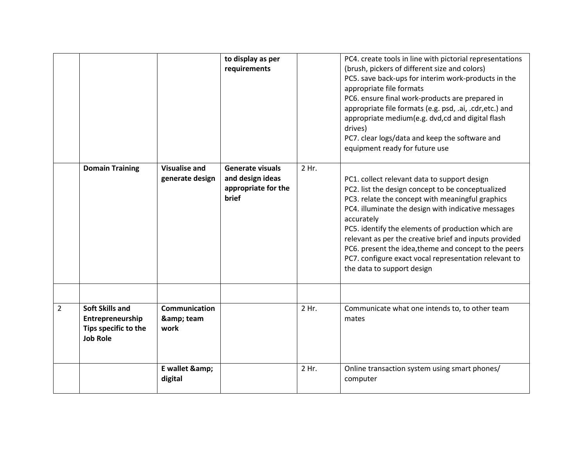|                |                                                                                       |                                         | to display as per<br>requirements                                                  |       | PC4. create tools in line with pictorial representations<br>(brush, pickers of different size and colors)<br>PC5. save back-ups for interim work-products in the<br>appropriate file formats<br>PC6. ensure final work-products are prepared in<br>appropriate file formats (e.g. psd, .ai, .cdr,etc.) and<br>appropriate medium(e.g. dvd,cd and digital flash<br>drives)<br>PC7. clear logs/data and keep the software and<br>equipment ready for future use                              |
|----------------|---------------------------------------------------------------------------------------|-----------------------------------------|------------------------------------------------------------------------------------|-------|--------------------------------------------------------------------------------------------------------------------------------------------------------------------------------------------------------------------------------------------------------------------------------------------------------------------------------------------------------------------------------------------------------------------------------------------------------------------------------------------|
|                | <b>Domain Training</b>                                                                | <b>Visualise and</b><br>generate design | <b>Generate visuals</b><br>and design ideas<br>appropriate for the<br><b>brief</b> | 2 Hr. | PC1. collect relevant data to support design<br>PC2. list the design concept to be conceptualized<br>PC3. relate the concept with meaningful graphics<br>PC4. illuminate the design with indicative messages<br>accurately<br>PC5. identify the elements of production which are<br>relevant as per the creative brief and inputs provided<br>PC6. present the idea, theme and concept to the peers<br>PC7. configure exact vocal representation relevant to<br>the data to support design |
| $\overline{2}$ | <b>Soft Skills and</b><br>Entrepreneurship<br>Tips specific to the<br><b>Job Role</b> | <b>Communication</b><br>& team<br>work  |                                                                                    | 2 Hr. | Communicate what one intends to, to other team<br>mates                                                                                                                                                                                                                                                                                                                                                                                                                                    |
|                |                                                                                       | E wallet &<br>digital                   |                                                                                    | 2 Hr. | Online transaction system using smart phones/<br>computer                                                                                                                                                                                                                                                                                                                                                                                                                                  |